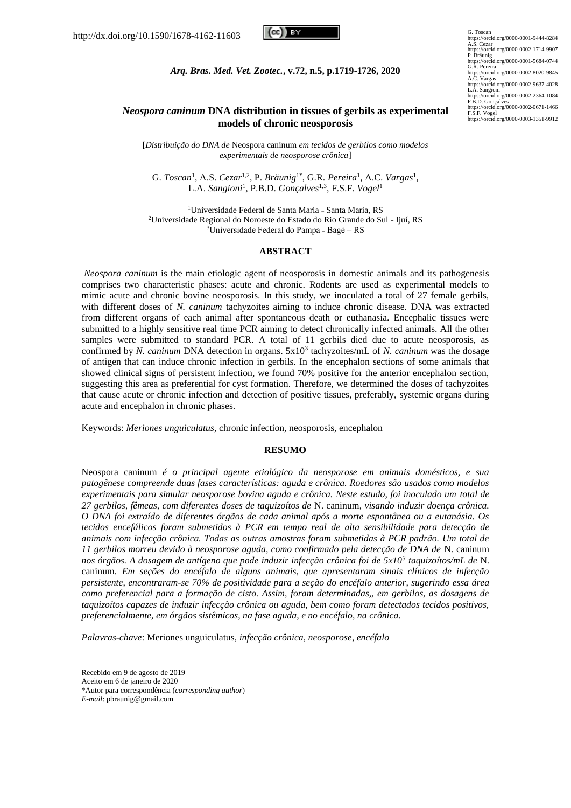

G. Toscan https://orcid.org/0000-0001-9444-8284 A.S. Cezar https://orcid.org/0000-0002-1714-9907<br>P. Bräunig<br>https://orcid.org/0000-0001-5684-0744<br>G.R. Pereira<br>https://orcid.org/0000-0002-8020-9845<br>https://orcid.org/0000-0002-9637-4028<br>https://orcid.org/0000-0002-9637-4028<br>https:// https://orcid.org/0000-0002-0671-1466 F.S.F. Vogel https://orcid.org/0000-0003-1351-9912

*Arq. Bras. Med. Vet. Zootec.***, v.72, n.5, p.1719-1726, 2020**

## *Neospora caninum* **DNA distribution in tissues of gerbils as experimental models of chronic neosporosis**

[*Distribuição do DNA de* Neospora caninum *em tecidos de gerbilos como modelos experimentais de neosporose crônica*]

G. *Toscan*<sup>1</sup>, A.S. *Cezar*<sup>1,2</sup>, P. *Bräunig*<sup>1\*</sup>, G.R. *Pereira*<sup>1</sup>, A.C. *Vargas*<sup>1</sup>, L.A. *Sangioni*<sup>1</sup> , P.B.D. *Gonçalves*1,3, F.S.F. *Vogel*<sup>1</sup>

<sup>1</sup>Universidade Federal de Santa Maria - Santa Maria, RS <sup>2</sup>Universidade Regional do Noroeste do Estado do Rio Grande do Sul - Ijuí, RS <sup>3</sup>Universidade Federal do Pampa - Bagé – RS

#### **ABSTRACT**

*Neospora caninum* is the main etiologic agent of neosporosis in domestic animals and its pathogenesis comprises two characteristic phases: acute and chronic. Rodents are used as experimental models to mimic acute and chronic bovine neosporosis. In this study, we inoculated a total of 27 female gerbils, with different doses of *N. caninum* tachyzoites aiming to induce chronic disease. DNA was extracted from different organs of each animal after spontaneous death or euthanasia. Encephalic tissues were submitted to a highly sensitive real time PCR aiming to detect chronically infected animals. All the other samples were submitted to standard PCR. A total of 11 gerbils died due to acute neosporosis, as confirmed by *N. caninum* DNA detection in organs. 5x10<sup>3</sup> tachyzoites/mL of *N. caninum* was the dosage of antigen that can induce chronic infection in gerbils. In the encephalon sections of some animals that showed clinical signs of persistent infection, we found 70% positive for the anterior encephalon section, suggesting this area as preferential for cyst formation. Therefore, we determined the doses of tachyzoites that cause acute or chronic infection and detection of positive tissues, preferably, systemic organs during acute and encephalon in chronic phases.

Keywords: *Meriones unguiculatus*, chronic infection, neosporosis, encephalon

### **RESUMO**

Neospora caninum *é o principal agente etiológico da neosporose em animais domésticos, e sua patogênese compreende duas fases características: aguda e crônica. Roedores são usados como modelos experimentais para simular neosporose bovina aguda e crônica. Neste estudo, foi inoculado um total de 27 gerbilos, fêmeas, com diferentes doses de taquizoítos de* N. caninum, *visando induzir doença crônica. O DNA foi extraído de diferentes órgãos de cada animal após a morte espontânea ou a eutanásia. Os tecidos encefálicos foram submetidos à PCR em tempo real de alta sensibilidade para detecção de animais com infecção crônica. Todas as outras amostras foram submetidas à PCR padrão. Um total de 11 gerbilos morreu devido à neosporose aguda, como confirmado pela detecção de DNA de* N. caninum *nos órgãos. A dosagem de antígeno que pode induzir infecção crônica foi de 5x10<sup>3</sup> taquizoítos/mL de* N. caninum*. Em seções do encéfalo de alguns animais, que apresentaram sinais clínicos de infecção persistente, encontraram-se 70% de positividade para a seção do encéfalo anterior, sugerindo essa área como preferencial para a formação de cisto. Assim, foram determinadas,, em gerbilos, as dosagens de taquizoítos capazes de induzir infecção crônica ou aguda, bem como foram detectados tecidos positivos, preferencialmente, em órgãos sistêmicos, na fase aguda, e no encéfalo, na crônica.* 

*Palavras-chave*: Meriones unguiculatus*, infecção crônica, neosporose, encéfalo*

Recebido em 9 de agosto de 2019

Aceito em 6 de janeiro de 2020

<sup>\*</sup>Autor para correspondência (*corresponding author*)

*E-mail*[: pbraunig@gmail.com](mailto:pbraunig@gmail.com)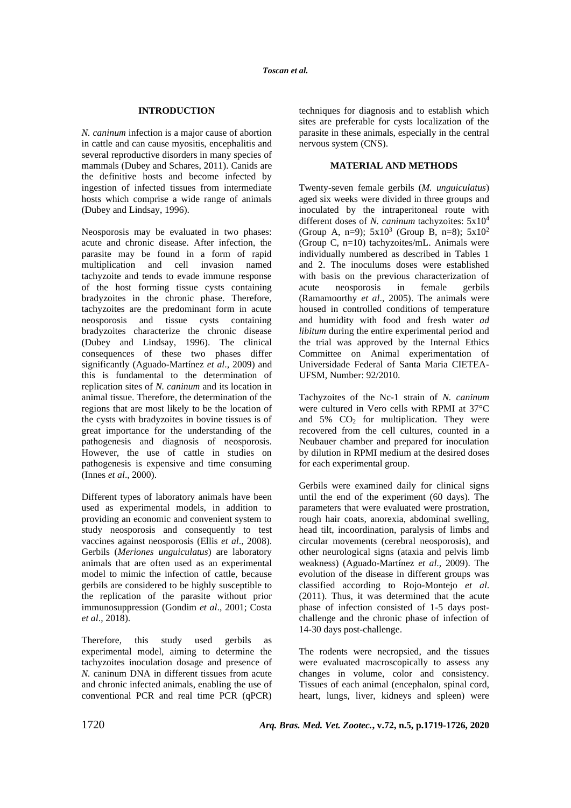## **INTRODUCTION**

*N. caninum* infection is a major cause of abortion in cattle and can cause myositis, encephalitis and several reproductive disorders in many species of mammals (Dubey and Schares, 2011). Canids are the definitive hosts and become infected by ingestion of infected tissues from intermediate hosts which comprise a wide range of animals (Dubey and Lindsay, 1996).

Neosporosis may be evaluated in two phases: acute and chronic disease. After infection, the parasite may be found in a form of rapid multiplication and cell invasion named tachyzoite and tends to evade immune response of the host forming tissue cysts containing bradyzoites in the chronic phase. Therefore, tachyzoites are the predominant form in acute neosporosis and tissue cysts containing bradyzoites characterize the chronic disease (Dubey and Lindsay, 1996). The clinical consequences of these two phases differ significantly (Aguado-Martínez *et al*., 2009) and this is fundamental to the determination of replication sites of *N. caninum* and its location in animal tissue. Therefore, the determination of the regions that are most likely to be the location of the cysts with bradyzoites in bovine tissues is of great importance for the understanding of the pathogenesis and diagnosis of neosporosis. However, the use of cattle in studies on pathogenesis is expensive and time consuming (Innes *et al*., 2000).

Different types of laboratory animals have been used as experimental models, in addition to providing an economic and convenient system to study neosporosis and consequently to test vaccines against neosporosis (Ellis *et al*., 2008). Gerbils (*Meriones unguiculatus*) are laboratory animals that are often used as an experimental model to mimic the infection of cattle, because gerbils are considered to be highly susceptible to the replication of the parasite without prior immunosuppression (Gondim *et al*., 2001; Costa *et al*., 2018).

Therefore, this study used gerbils as experimental model, aiming to determine the tachyzoites inoculation dosage and presence of *N.* caninum DNA in different tissues from acute and chronic infected animals, enabling the use of conventional PCR and real time PCR (qPCR) techniques for diagnosis and to establish which sites are preferable for cysts localization of the parasite in these animals, especially in the central nervous system (CNS).

# **MATERIAL AND METHODS**

Twenty-seven female gerbils (*M. unguiculatus*) aged six weeks were divided in three groups and inoculated by the intraperitoneal route with different doses of *N. caninum* tachyzoites: 5x10<sup>4</sup> (Group A, n=9);  $5x10^3$  (Group B, n=8);  $5x10^2$ (Group C,  $n=10$ ) tachyzoites/mL. Animals were individually numbered as described in Tables 1 and 2. The inoculums doses were established with basis on the previous characterization of acute neosporosis in female gerbils (Ramamoorthy *et al*., 2005). The animals were housed in controlled conditions of temperature and humidity with food and fresh water *ad libitum* during the entire experimental period and the trial was approved by the Internal Ethics Committee on Animal experimentation of Universidade Federal of Santa Maria CIETEA-UFSM, Number: 92/2010.

Tachyzoites of the Nc-1 strain of *N. caninum* were cultured in Vero cells with RPMI at 37°C and  $5\%$  CO<sub>2</sub> for multiplication. They were recovered from the cell cultures, counted in a Neubauer chamber and prepared for inoculation by dilution in RPMI medium at the desired doses for each experimental group.

Gerbils were examined daily for clinical signs until the end of the experiment (60 days). The parameters that were evaluated were prostration, rough hair coats, anorexia, abdominal swelling, head tilt, incoordination, paralysis of limbs and circular movements (cerebral neosporosis), and other neurological signs (ataxia and pelvis limb weakness) (Aguado-Martínez *et al*., 2009). The evolution of the disease in different groups was classified according to Rojo-Montejo *et al*. (2011). Thus, it was determined that the acute phase of infection consisted of 1-5 days postchallenge and the chronic phase of infection of 14-30 days post-challenge.

The rodents were necropsied, and the tissues were evaluated macroscopically to assess any changes in volume, color and consistency. Tissues of each animal (encephalon, spinal cord, heart, lungs, liver, kidneys and spleen) were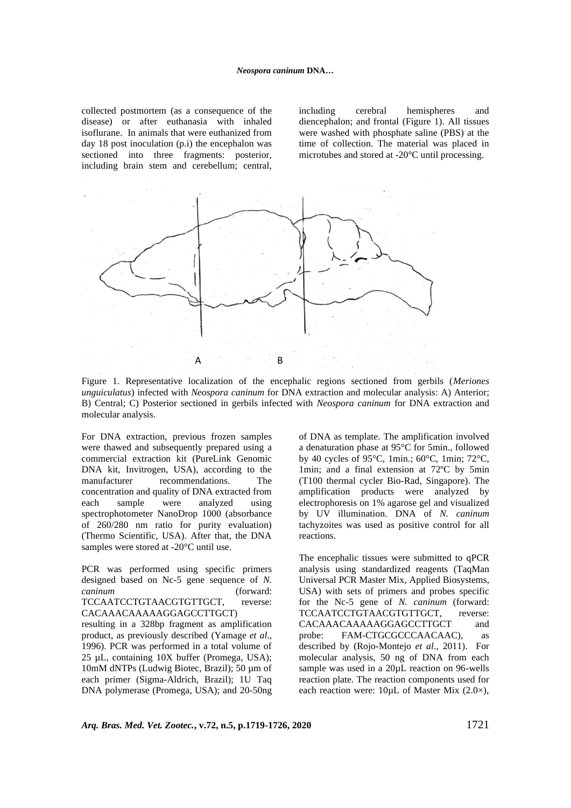collected postmortem (as a consequence of the disease) or after euthanasia with inhaled isoflurane. In animals that were euthanized from day 18 post inoculation (p.i) the encephalon was sectioned into three fragments: posterior, including brain stem and cerebellum; central, including cerebral hemispheres and diencephalon; and frontal (Figure 1). All tissues were washed with phosphate saline (PBS) at the time of collection. The material was placed in microtubes and stored at -20°C until processing.



Figure 1. Representative localization of the encephalic regions sectioned from gerbils (*Meriones*  C*unguiculatus*) infected with *Neospora caninum* for DNA extraction and molecular analysis: A) Anterior; B) Central; C) Posterior sectioned in gerbils infected with *Neospora caninum* for DNA extraction and molecular analysis.

For DNA extraction, previous frozen samples were thawed and subsequently prepared using a commercial extraction kit (PureLink Genomic DNA kit, Invitrogen, USA), according to the manufacturer recommendations. The concentration and quality of DNA extracted from each sample were analyzed using spectrophotometer NanoDrop 1000 (absorbance of 260/280 nm ratio for purity evaluation) (Thermo Scientific, USA). After that, the DNA samples were stored at -20°C until use.

PCR was performed using specific primers designed based on Nc-5 gene sequence of *N. caninum* (forward: TCCAATCCTGTAACGTGTTGCT, reverse: CACAAACAAAAAGGAGCCTTGCT)

resulting in a 328bp fragment as amplification product, as previously described (Yamage *et al*., 1996). PCR was performed in a total volume of 25 µL, containing 10X buffer (Promega, USA); 10mM dNTPs (Ludwig Biotec, Brazil); 50 µm of each primer (Sigma-Aldrich, Brazil); 1U Taq DNA polymerase (Promega, USA); and 20-50ng of DNA as template. The amplification involved a denaturation phase at 95°C for 5min., followed by 40 cycles of 95°C, 1min.; 60°C, 1min; 72°C, 1min; and a final extension at 72ºC by 5min (T100 thermal cycler Bio-Rad, Singapore). The amplification products were analyzed by electrophoresis on 1% agarose gel and visualized by UV illumination. DNA of *N. caninum* tachyzoites was used as positive control for all reactions.

The encephalic tissues were submitted to qPCR analysis using standardized reagents (TaqMan Universal PCR Master Mix, Applied Biosystems, USA) with sets of primers and probes specific for the Nc-5 gene of *N. caninum* (forward: TCCAATCCTGTAACGTGTTGCT, reverse: CACAAACAAAAAGGAGCCTTGCT and probe: FAM-CTGCGCCCAACAAC), as described by (Rojo-Montejo *et al*., 2011). For molecular analysis, 50 ng of DNA from each sample was used in a 20µL reaction on 96-wells reaction plate. The reaction components used for each reaction were: 10µL of Master Mix (2.0×),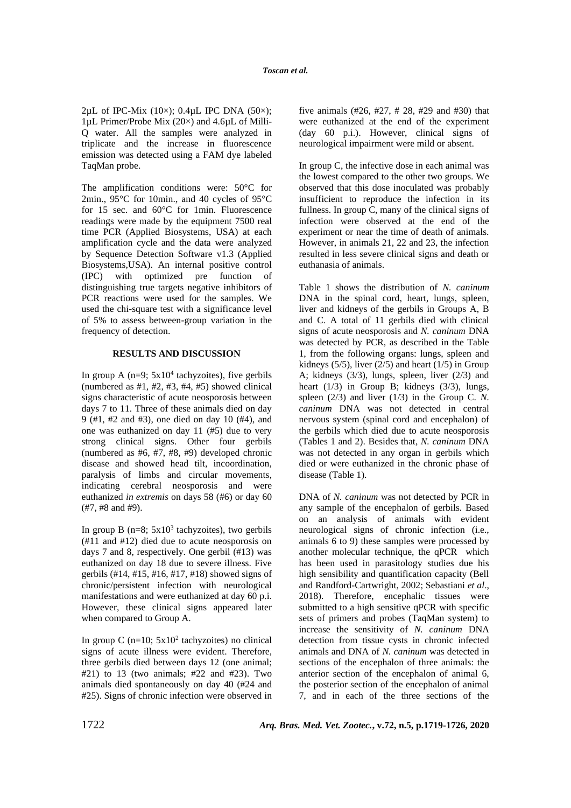2µL of IPC-Mix  $(10\times)$ ; 0.4µL IPC DNA  $(50\times)$ ; 1µL Primer/Probe Mix (20×) and 4.6µL of Milli-Q water. All the samples were analyzed in triplicate and the increase in fluorescence emission was detected using a FAM dye labeled TaqMan probe.

The amplification conditions were: 50°C for 2min.,  $95^{\circ}$ C for 10min., and 40 cycles of  $95^{\circ}$ C for 15 sec. and 60°C for 1min. Fluorescence readings were made by the equipment 7500 real time PCR (Applied Biosystems, USA) at each amplification cycle and the data were analyzed by Sequence Detection Software v1.3 (Applied Biosystems,USA). An internal positive control (IPC) with optimized pre function of distinguishing true targets negative inhibitors of PCR reactions were used for the samples. We used the chi-square test with a significance level of 5% to assess between-group variation in the frequency of detection.

# **RESULTS AND DISCUSSION**

In group A  $(n=9; 5x10<sup>4</sup>$  tachyzoites), five gerbils (numbered as  $#1, #2, #3, #4, #5$ ) showed clinical signs characteristic of acute neosporosis between days 7 to 11. Three of these animals died on day 9 (#1, #2 and #3), one died on day 10 (#4), and one was euthanized on day 11 (#5) due to very strong clinical signs. Other four gerbils (numbered as #6, #7, #8, #9) developed chronic disease and showed head tilt, incoordination, paralysis of limbs and circular movements, indicating cerebral neosporosis and were euthanized *in extremis* on days 58 (#6) or day 60 (#7, #8 and #9).

In group B  $(n=8; 5x10^3)$  tachyzoites), two gerbils (#11 and #12) died due to acute neosporosis on days 7 and 8, respectively. One gerbil (#13) was euthanized on day 18 due to severe illness. Five gerbils (#14, #15, #16, #17, #18) showed signs of chronic/persistent infection with neurological manifestations and were euthanized at day 60 p.i. However, these clinical signs appeared later when compared to Group A.

In group C  $(n=10; 5x10^2)$  tachyzoites) no clinical signs of acute illness were evident. Therefore, three gerbils died between days 12 (one animal;  $#21$ ) to 13 (two animals;  $#22$  and  $#23$ ). Two animals died spontaneously on day 40 (#24 and #25). Signs of chronic infection were observed in five animals (#26, #27, # 28, #29 and #30) that were euthanized at the end of the experiment (day 60 p.i.). However, clinical signs of neurological impairment were mild or absent.

In group C, the infective dose in each animal was the lowest compared to the other two groups. We observed that this dose inoculated was probably insufficient to reproduce the infection in its fullness. In group C, many of the clinical signs of infection were observed at the end of the experiment or near the time of death of animals. However, in animals 21, 22 and 23, the infection resulted in less severe clinical signs and death or euthanasia of animals.

Table 1 shows the distribution of *N. caninum*  DNA in the spinal cord, heart, lungs, spleen, liver and kidneys of the gerbils in Groups A, B and C. A total of 11 gerbils died with clinical signs of acute neosporosis and *N. caninum* DNA was detected by PCR, as described in the Table 1, from the following organs: lungs, spleen and kidneys (5/5), liver (2/5) and heart (1/5) in Group A; kidneys (3/3), lungs, spleen, liver (2/3) and heart  $(1/3)$  in Group B; kidneys  $(3/3)$ , lungs, spleen  $(2/3)$  and liver  $(1/3)$  in the Group C. N. *caninum* DNA was not detected in central nervous system (spinal cord and encephalon) of the gerbils which died due to acute neosporosis (Tables 1 and 2). Besides that, *N. caninum* DNA was not detected in any organ in gerbils which died or were euthanized in the chronic phase of disease (Table 1).

DNA of *N. caninum* was not detected by PCR in any sample of the encephalon of gerbils. Based on an analysis of animals with evident neurological signs of chronic infection (i.e., animals 6 to 9) these samples were processed by another molecular technique, the qPCR which has been used in parasitology studies due his high sensibility and quantification capacity (Bell and Randford-Cartwright, 2002; Sebastiani *et al*., 2018). Therefore, encephalic tissues were submitted to a high sensitive qPCR with specific sets of primers and probes (TaqMan system) to increase the sensitivity of *N. caninum* DNA detection from tissue cysts in chronic infected animals and DNA of *N. caninum* was detected in sections of the encephalon of three animals: the anterior section of the encephalon of animal 6, the posterior section of the encephalon of animal 7, and in each of the three sections of the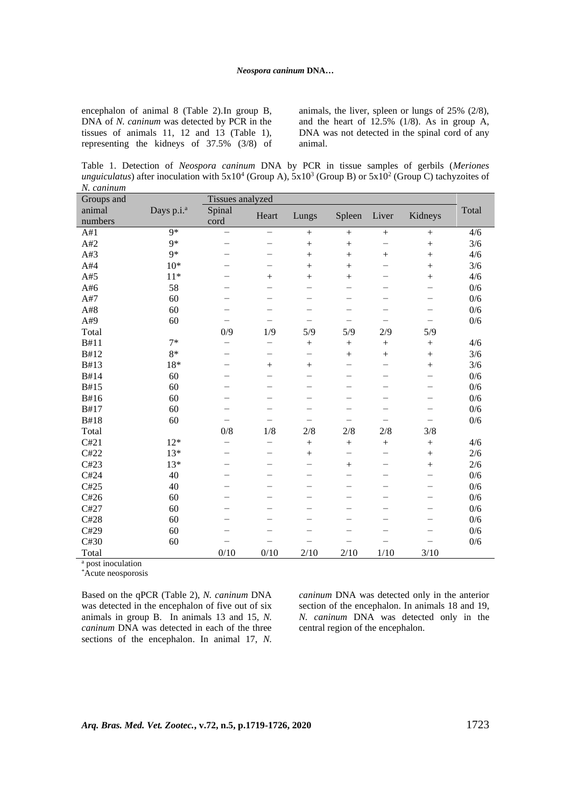encephalon of animal 8 (Table 2).In group B, DNA of *N. caninum* was detected by PCR in the tissues of animals 11, 12 and 13 (Table 1), representing the kidneys of 37.5% (3/8) of animals, the liver, spleen or lungs of 25% (2/8), and the heart of  $12.5\%$  (1/8). As in group A, DNA was not detected in the spinal cord of any animal.

Table 1. Detection of *Neospora caninum* DNA by PCR in tissue samples of gerbils (*Meriones unguiculatus*) after inoculation with  $5x10^4$  (Group A),  $5x10^3$  (Group B) or  $5x10^2$  (Group C) tachyzoites of *N. caninum*

| Groups and                             |                        | Tissues analyzed         |                                   |                          |                          |                          |                          |       |  |  |  |
|----------------------------------------|------------------------|--------------------------|-----------------------------------|--------------------------|--------------------------|--------------------------|--------------------------|-------|--|--|--|
| animal                                 | Days p.i. <sup>a</sup> | Spinal                   |                                   |                          | Spleen                   | Liver                    |                          | Total |  |  |  |
| numbers                                |                        | cord                     | Heart                             | Lungs                    |                          |                          | Kidneys                  |       |  |  |  |
| A#1                                    | $Q*$                   | —                        | $\overline{\phantom{0}}$          | $+$                      | $+$                      | $+$                      | $+$                      | 4/6   |  |  |  |
| A#2                                    | $9*$                   |                          | -                                 | $^{+}$                   | $^{+}$                   | $\overline{\phantom{0}}$ | $^{+}$                   | 3/6   |  |  |  |
| A#3                                    | $9*$                   | $\overline{\phantom{0}}$ | -                                 | $^{+}$                   | $+$                      | $^{+}$                   | $^{+}$                   | 4/6   |  |  |  |
| A#4                                    | $10*$                  |                          |                                   | $^{+}$                   | $+$                      | $\overline{\phantom{0}}$ | $+$                      | 3/6   |  |  |  |
| A#5                                    | $11*$                  |                          | $^{+}$                            | $^{+}$                   | $+$                      | —                        | $^{+}$                   | 4/6   |  |  |  |
| A#6                                    | 58                     |                          |                                   | $\overline{\phantom{0}}$ |                          |                          | —                        | 0/6   |  |  |  |
| A#7                                    | 60                     |                          | -                                 | $\overline{\phantom{0}}$ |                          | —                        | $\qquad \qquad -$        | 0/6   |  |  |  |
| A#8                                    | 60                     |                          | —                                 |                          |                          |                          | $\qquad \qquad -$        | 0/6   |  |  |  |
| A#9                                    | 60                     | $\overline{\phantom{0}}$ | $\overline{\phantom{0}}$          | $\overline{\phantom{0}}$ | $\overline{\phantom{0}}$ | $\overline{\phantom{0}}$ | $\overline{\phantom{0}}$ | 0/6   |  |  |  |
| Total                                  |                        | 0/9                      | 1/9                               | 5/9                      | 5/9                      | 2/9                      | 5/9                      |       |  |  |  |
| B#11                                   | $7*$                   | $\overline{\phantom{0}}$ |                                   | $+$                      | $+$                      | $+$                      | $+$                      | 4/6   |  |  |  |
| B#12                                   | $8*$                   | $\overline{\phantom{0}}$ | $\overbrace{\phantom{123221111}}$ | -                        | $+$                      | $+$                      | $+$                      | 3/6   |  |  |  |
| B#13                                   | 18*                    |                          | $+$                               | $+$                      |                          | $\overline{\phantom{0}}$ | $+$                      | 3/6   |  |  |  |
| B#14                                   | 60                     |                          | $\overline{\phantom{0}}$          | $\overline{\phantom{0}}$ |                          | $\overline{\phantom{0}}$ | $\overline{\phantom{0}}$ | 0/6   |  |  |  |
| B#15                                   | 60                     |                          | $\overline{\phantom{0}}$          | $\overline{\phantom{0}}$ |                          | $\overline{\phantom{0}}$ | $\overline{\phantom{0}}$ | 0/6   |  |  |  |
| B#16                                   | 60                     | $\overline{\phantom{0}}$ | $\overline{\phantom{0}}$          |                          |                          | $\overline{\phantom{0}}$ | $\overline{\phantom{0}}$ | 0/6   |  |  |  |
| B#17                                   | 60                     |                          |                                   | $\overline{\phantom{0}}$ |                          |                          | $\overline{\phantom{0}}$ | 0/6   |  |  |  |
| B#18                                   | 60                     | $\overline{\phantom{0}}$ | $\overline{\phantom{0}}$          | —                        | —                        | —                        | -                        | 0/6   |  |  |  |
| Total                                  |                        | 0/8                      | 1/8                               | 2/8                      | 2/8                      | 2/8                      | 3/8                      |       |  |  |  |
| C#21                                   | $12*$                  | $\overline{\phantom{0}}$ |                                   | $+$                      | $+$                      | $+$                      | $+$                      | 4/6   |  |  |  |
| C#22                                   | $13*$                  |                          | $\overline{\phantom{0}}$          | $+$                      | $\overline{\phantom{0}}$ | $\overline{\phantom{0}}$ | $+$                      | $2/6$ |  |  |  |
| C#23                                   | $13*$                  |                          | -                                 | $\overline{\phantom{0}}$ | $^{+}$                   | $\qquad \qquad$          | $\ddot{}$                | 2/6   |  |  |  |
| C#24                                   | 40                     |                          | -                                 | $\overline{\phantom{0}}$ | -                        | -                        | $\overline{\phantom{0}}$ | 0/6   |  |  |  |
| C#25                                   | 40                     |                          |                                   | -                        |                          | $\overline{\phantom{0}}$ | $\qquad \qquad$          | 0/6   |  |  |  |
| C#26                                   | 60                     |                          | $\overline{\phantom{0}}$          |                          |                          | $\equiv$                 | $\overline{\phantom{0}}$ | 0/6   |  |  |  |
| C#27                                   | 60                     |                          | $\overline{\phantom{0}}$          | $\qquad \qquad$          |                          | -                        | $\qquad \qquad$          | 0/6   |  |  |  |
| C#28                                   | 60                     |                          | $\overline{\phantom{0}}$          |                          |                          | $\overline{\phantom{0}}$ | —                        | 0/6   |  |  |  |
| C#29                                   | 60                     |                          |                                   |                          |                          |                          |                          | 0/6   |  |  |  |
| C#30                                   | 60                     |                          |                                   |                          |                          |                          |                          | 0/6   |  |  |  |
| Total<br>$\mathbf{u}$ and $\mathbf{v}$ |                        | 0/10                     | 0/10                              | 2/10                     | 2/10                     | 1/10                     | 3/10                     |       |  |  |  |

<sup>a</sup> post inoculation

\*Acute neosporosis

Based on the qPCR (Table 2), *N. caninum* DNA was detected in the encephalon of five out of six animals in group B. In animals 13 and 15, *N. caninum* DNA was detected in each of the three sections of the encephalon. In animal 17, *N.* *caninum* DNA was detected only in the anterior section of the encephalon. In animals 18 and 19, *N. caninum* DNA was detected only in the central region of the encephalon.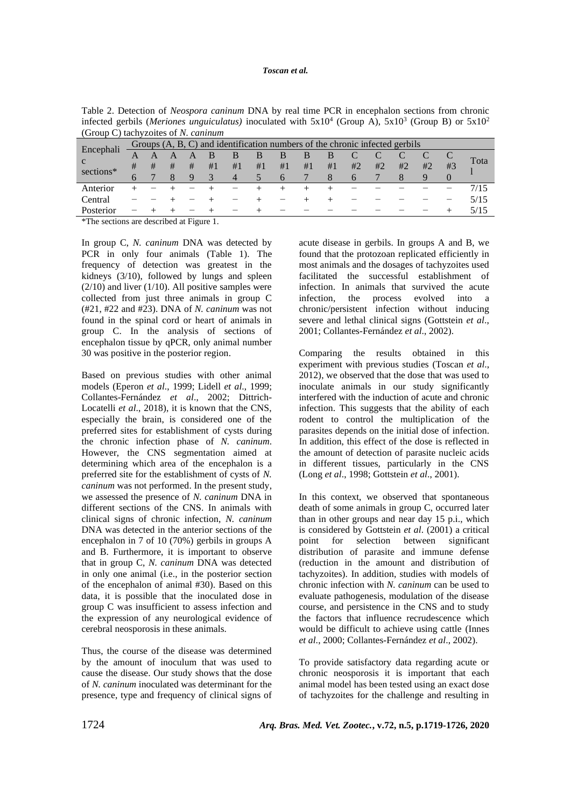### *Toscan et al.*

Table 2. Detection of *Neospora caninum* DNA by real time PCR in encephalon sections from chronic infected gerbils (Meriones unguiculatus) inoculated with  $5x10^4$  (Group A),  $5x10^3$  (Group B) or  $5x10^2$ (Group C) tachyzoites of *N. caninum*

|           |   | Groups (A, B, C) and identification numbers of the chronic infected gerbils |   |   |    |                |    |          |    |    |              |    |    |    |    |      |
|-----------|---|-----------------------------------------------------------------------------|---|---|----|----------------|----|----------|----|----|--------------|----|----|----|----|------|
| Encephali |   | A                                                                           |   |   |    | B              | B  | B        | B  | B  |              |    |    |    |    |      |
| C         | # | #                                                                           | # | # | #1 | #1             | #1 | #1       | #1 | #1 | #2           | #2 | #2 | #2 | #3 | Tota |
| sections* | 6 |                                                                             | X | 9 | 3  | $\overline{4}$ |    | $\theta$ |    | 8  | $\mathbf{b}$ |    | 8  |    |    |      |
| Anterior  |   |                                                                             |   |   |    |                |    |          |    |    |              |    |    |    |    |      |
| Central   |   |                                                                             |   |   |    |                |    |          |    |    |              |    |    |    |    | 5/15 |
| Posterior |   |                                                                             |   |   |    |                |    |          |    |    |              |    |    |    |    | 5/15 |
|           |   |                                                                             |   |   |    |                |    |          |    |    |              |    |    |    |    |      |

\*The sections are described at Figure 1.

In group C, *N. caninum* DNA was detected by PCR in only four animals (Table 1). The frequency of detection was greatest in the kidneys (3/10), followed by lungs and spleen  $(2/10)$  and liver  $(1/10)$ . All positive samples were collected from just three animals in group C (#21, #22 and #23). DNA of *N. caninum* was not found in the spinal cord or heart of animals in group C. In the analysis of sections of encephalon tissue by qPCR, only animal number 30 was positive in the posterior region.

Based on previous studies with other animal models (Eperon *et al*., 1999; Lidell *et al*., 1999; Collantes-Fernández *et al*., 2002; Dittrich-Locatelli *et al*., 2018), it is known that the CNS, especially the brain, is considered one of the preferred sites for establishment of cysts during the chronic infection phase of *N. caninum*. However, the CNS segmentation aimed at determining which area of the encephalon is a preferred site for the establishment of cysts of *N. caninum* was not performed. In the present study, we assessed the presence of *N. caninum* DNA in different sections of the CNS. In animals with clinical signs of chronic infection, *N. caninum* DNA was detected in the anterior sections of the encephalon in 7 of 10 (70%) gerbils in groups A and B. Furthermore, it is important to observe that in group C, *N. caninum* DNA was detected in only one animal (i.e., in the posterior section of the encephalon of animal #30). Based on this data, it is possible that the inoculated dose in group C was insufficient to assess infection and the expression of any neurological evidence of cerebral neosporosis in these animals.

Thus, the course of the disease was determined by the amount of inoculum that was used to cause the disease. Our study shows that the dose of *N. caninum* inoculated was determinant for the presence, type and frequency of clinical signs of acute disease in gerbils. In groups A and B, we found that the protozoan replicated efficiently in most animals and the dosages of tachyzoites used facilitated the successful establishment of infection. In animals that survived the acute infection, the process evolved into a chronic/persistent infection without inducing severe and lethal clinical signs (Gottstein *et al*., 2001; Collantes-Fernández *et al*., 2002).

Comparing the results obtained in this experiment with previous studies (Toscan *et al*., 2012), we observed that the dose that was used to inoculate animals in our study significantly interfered with the induction of acute and chronic infection. This suggests that the ability of each rodent to control the multiplication of the parasites depends on the initial dose of infection. In addition, this effect of the dose is reflected in the amount of detection of parasite nucleic acids in different tissues, particularly in the CNS (Long *et al*., 1998; Gottstein *et al*., 2001).

In this context, we observed that spontaneous death of some animals in group C, occurred later than in other groups and near day 15 p.i., which is considered by Gottstein *et al*. (2001) a critical point for selection between significant distribution of parasite and immune defense (reduction in the amount and distribution of tachyzoites). In addition, studies with models of chronic infection with *N. caninum* can be used to evaluate pathogenesis, modulation of the disease course, and persistence in the CNS and to study the factors that influence recrudescence which would be difficult to achieve using cattle (Innes *et al*., 2000; Collantes-Fernández *et al*., 2002).

To provide satisfactory data regarding acute or chronic neosporosis it is important that each animal model has been tested using an exact dose of tachyzoites for the challenge and resulting in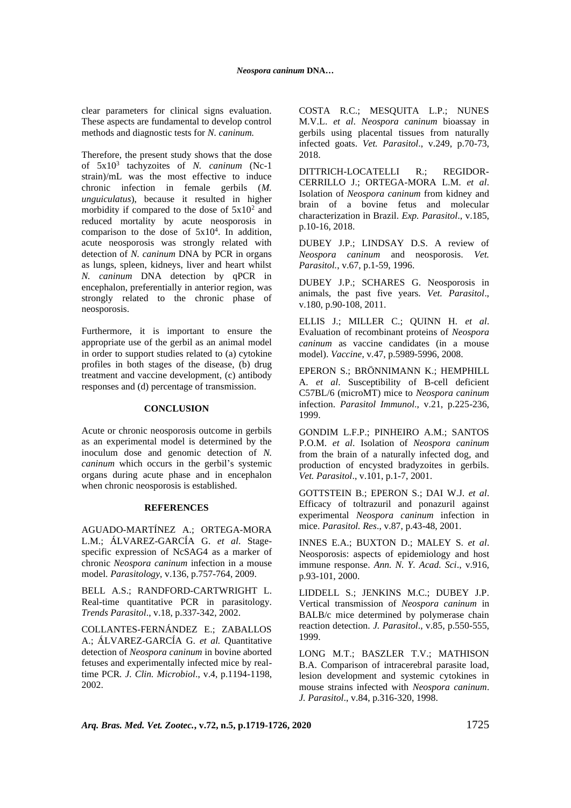clear parameters for clinical signs evaluation. These aspects are fundamental to develop control methods and diagnostic tests for *N. caninum.*

Therefore, the present study shows that the dose of 5x10<sup>3</sup> tachyzoites of *N. caninum* (Nc-1 strain)/mL was the most effective to induce chronic infection in female gerbils (*M. unguiculatus*), because it resulted in higher morbidity if compared to the dose of  $5x10^2$  and reduced mortality by acute neosporosis in comparison to the dose of  $5x10<sup>4</sup>$ . In addition, acute neosporosis was strongly related with detection of *N. caninum* DNA by PCR in organs as lungs, spleen, kidneys, liver and heart whilst *N. caninum* DNA detection by qPCR in encephalon, preferentially in anterior region, was strongly related to the chronic phase of neosporosis.

Furthermore, it is important to ensure the appropriate use of the gerbil as an animal model in order to support studies related to (a) cytokine profiles in both stages of the disease, (b) drug treatment and vaccine development, (c) antibody responses and (d) percentage of transmission.

### **CONCLUSION**

Acute or chronic neosporosis outcome in gerbils as an experimental model is determined by the inoculum dose and genomic detection of *N. caninum* which occurs in the gerbil's systemic organs during acute phase and in encephalon when chronic neosporosis is established.

#### **REFERENCES**

AGUADO-MARTÍNEZ A.; ORTEGA-MORA L.M.; ÁLVAREZ-GARCÍA G. *et al*. Stagespecific expression of NcSAG4 as a marker of chronic *Neospora caninum* infection in a mouse model. *Parasitology*, v.136, p.757-764, 2009.

BELL A.S.; RANDFORD-CARTWRIGHT L. Real-time quantitative PCR in parasitology. *Trends Parasitol*., v.18, p.337-342, 2002.

COLLANTES-FERNÁNDEZ E.; [ZABALLOS](http://jcm.asm.org/search?author1=%C3%81ngel+Zaballos&sortspec=date&submit=Submit) A.; ÁLVAREZ-GARCÍA G. *et al.* Quantitative detection of *Neospora caninum* in bovine aborted fetuses and experimentally infected mice by realtime PCR*. J. Clin. Microbiol*., v.4, p.1194-1198, 2002.

COSTA R.C.; MESQUITA L.P.; NUNES M.V.L. *et al*. *Neospora caninum* bioassay in gerbils using placental tissues from naturally infected goats. *Vet. Parasitol*., v.249, p.70-73, 2018.

DITTRICH-LOCATELLI R.; REGIDOR-CERRILLO J.; ORTEGA-MORA L.M. *et al*. Isolation of *Neospora caninum* from kidney and brain of a bovine fetus and molecular characterization in Brazil. *Exp. Parasitol*., v.185, p.10-16, 2018.

DUBEY J.P.; LINDSAY D.S. A review of *Neospora caninum* and neosporosis. *Vet. Parasitol.*, v.67, p.1-59, 1996.

DUBEY J.P.; SCHARES G. Neosporosis in animals, the past five years. *Vet. Parasitol*., v.180, p.90-108, 2011.

ELLIS J.; MILLER C.; QUINN H. *et al*. Evaluation of recombinant proteins of *Neospora caninum* as vaccine candidates (in a mouse model). *Vaccine*, v.47, p.5989-5996, 2008.

EPERON S.; BRÖNNIMANN K.; HEMPHILL A. *et al*. Susceptibility of B-cell deficient C57BL/6 (microMT) mice to *Neospora caninum* infection. *Parasitol Immunol*., v.21, p.225-236, 1999.

GONDIM L.F.P.; PINHEIRO A.M.; SANTOS P.O.M. *et al*. Isolation of *Neospora caninum* from the brain of a naturally infected dog, and production of encysted bradyzoites in gerbils. *Vet. Parasitol*., v.101, p.1-7, 2001.

GOTTSTEIN B.; EPERON S.; DAI W.J. *et al*. Efficacy of toltrazuril and ponazuril against experimental *Neospora caninum* infection in mice. *Parasitol. Res*., v.87, p.43-48, 2001.

INNES E.A.; BUXTON D.; MALEY S. *et al*. Neosporosis: aspects of epidemiology and host immune response. *Ann. N. Y. Acad. Sci*., v.916, p.93-101, 2000.

LIDDELL S.; JENKINS M.C.; DUBEY J.P. Vertical transmission of *Neospora caninum* in BALB/c mice determined by polymerase chain reaction detection. *J. Parasitol*., v.85, p.550-555, 1999.

LONG M.T.; BASZLER T.V.; MATHISON B.A. Comparison of intracerebral parasite load, lesion development and systemic cytokines in mouse strains infected with *Neospora caninum*. *J. Parasitol*., v.84, p.316-320, 1998.

*Arq. Bras. Med. Vet. Zootec.***, v.72, n.5, p.1719-1726, 2020** 1725